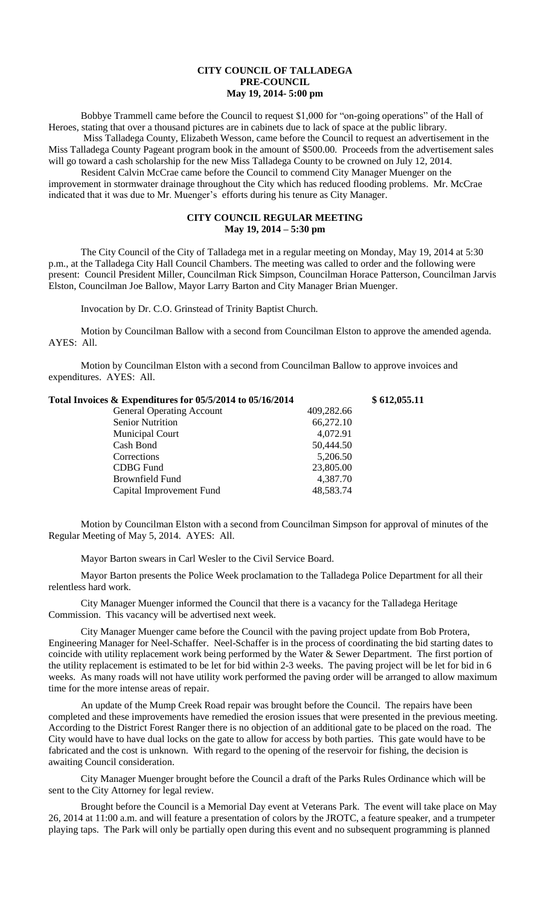## **CITY COUNCIL OF TALLADEGA PRE-COUNCIL May 19, 2014- 5:00 pm**

Bobbye Trammell came before the Council to request \$1,000 for "on-going operations" of the Hall of Heroes, stating that over a thousand pictures are in cabinets due to lack of space at the public library. Miss Talladega County, Elizabeth Wesson, came before the Council to request an advertisement in the

Miss Talladega County Pageant program book in the amount of \$500.00. Proceeds from the advertisement sales will go toward a cash scholarship for the new Miss Talladega County to be crowned on July 12, 2014.

Resident Calvin McCrae came before the Council to commend City Manager Muenger on the improvement in stormwater drainage throughout the City which has reduced flooding problems. Mr. McCrae indicated that it was due to Mr. Muenger's efforts during his tenure as City Manager.

## **CITY COUNCIL REGULAR MEETING May 19, 2014 – 5:30 pm**

The City Council of the City of Talladega met in a regular meeting on Monday, May 19, 2014 at 5:30 p.m., at the Talladega City Hall Council Chambers. The meeting was called to order and the following were present: Council President Miller, Councilman Rick Simpson, Councilman Horace Patterson, Councilman Jarvis Elston, Councilman Joe Ballow, Mayor Larry Barton and City Manager Brian Muenger.

Invocation by Dr. C.O. Grinstead of Trinity Baptist Church.

Motion by Councilman Ballow with a second from Councilman Elston to approve the amended agenda. AYES: All.

Motion by Councilman Elston with a second from Councilman Ballow to approve invoices and expenditures. AYES: All.

| Total Invoices & Expenditures for 05/5/2014 to 05/16/2014 |            | \$612,055.11 |
|-----------------------------------------------------------|------------|--------------|
| <b>General Operating Account</b>                          | 409,282.66 |              |
| <b>Senior Nutrition</b>                                   | 66,272.10  |              |
| <b>Municipal Court</b>                                    | 4,072.91   |              |
| Cash Bond                                                 | 50,444.50  |              |
| Corrections                                               | 5,206.50   |              |
| CDBG Fund                                                 | 23,805.00  |              |
| Brownfield Fund                                           | 4,387.70   |              |
| Capital Improvement Fund                                  | 48,583.74  |              |

Motion by Councilman Elston with a second from Councilman Simpson for approval of minutes of the Regular Meeting of May 5, 2014. AYES: All.

Mayor Barton swears in Carl Wesler to the Civil Service Board.

Mayor Barton presents the Police Week proclamation to the Talladega Police Department for all their relentless hard work.

City Manager Muenger informed the Council that there is a vacancy for the Talladega Heritage Commission. This vacancy will be advertised next week.

City Manager Muenger came before the Council with the paving project update from Bob Protera, Engineering Manager for Neel-Schaffer. Neel-Schaffer is in the process of coordinating the bid starting dates to coincide with utility replacement work being performed by the Water & Sewer Department. The first portion of the utility replacement is estimated to be let for bid within 2-3 weeks. The paving project will be let for bid in 6 weeks. As many roads will not have utility work performed the paving order will be arranged to allow maximum time for the more intense areas of repair.

An update of the Mump Creek Road repair was brought before the Council. The repairs have been completed and these improvements have remedied the erosion issues that were presented in the previous meeting. According to the District Forest Ranger there is no objection of an additional gate to be placed on the road. The City would have to have dual locks on the gate to allow for access by both parties. This gate would have to be fabricated and the cost is unknown. With regard to the opening of the reservoir for fishing, the decision is awaiting Council consideration.

City Manager Muenger brought before the Council a draft of the Parks Rules Ordinance which will be sent to the City Attorney for legal review.

Brought before the Council is a Memorial Day event at Veterans Park. The event will take place on May 26, 2014 at 11:00 a.m. and will feature a presentation of colors by the JROTC, a feature speaker, and a trumpeter playing taps. The Park will only be partially open during this event and no subsequent programming is planned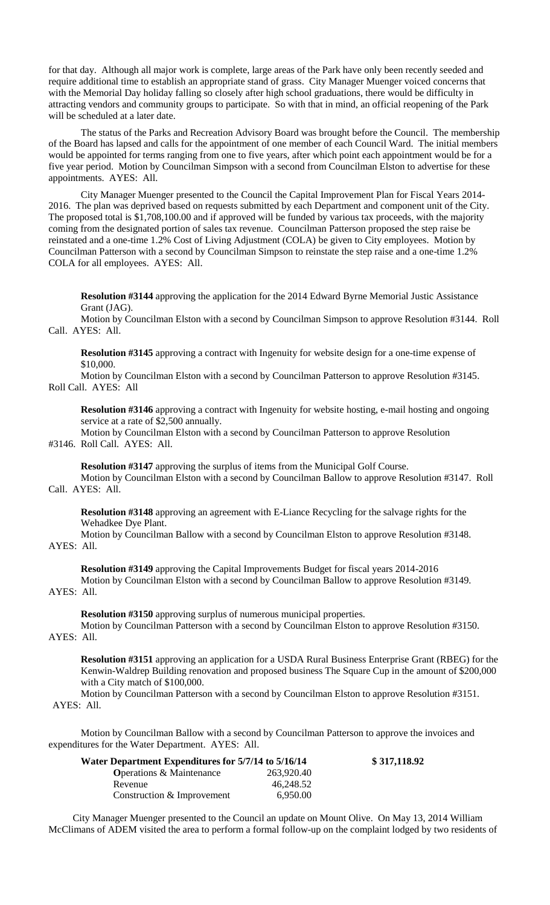for that day. Although all major work is complete, large areas of the Park have only been recently seeded and require additional time to establish an appropriate stand of grass. City Manager Muenger voiced concerns that with the Memorial Day holiday falling so closely after high school graduations, there would be difficulty in attracting vendors and community groups to participate. So with that in mind, an official reopening of the Park will be scheduled at a later date.

The status of the Parks and Recreation Advisory Board was brought before the Council. The membership of the Board has lapsed and calls for the appointment of one member of each Council Ward. The initial members would be appointed for terms ranging from one to five years, after which point each appointment would be for a five year period. Motion by Councilman Simpson with a second from Councilman Elston to advertise for these appointments. AYES: All.

City Manager Muenger presented to the Council the Capital Improvement Plan for Fiscal Years 2014- 2016. The plan was deprived based on requests submitted by each Department and component unit of the City. The proposed total is \$1,708,100.00 and if approved will be funded by various tax proceeds, with the majority coming from the designated portion of sales tax revenue. Councilman Patterson proposed the step raise be reinstated and a one-time 1.2% Cost of Living Adjustment (COLA) be given to City employees. Motion by Councilman Patterson with a second by Councilman Simpson to reinstate the step raise and a one-time 1.2% COLA for all employees. AYES: All.

**Resolution #3144** approving the application for the 2014 Edward Byrne Memorial Justic Assistance Grant (JAG).

Motion by Councilman Elston with a second by Councilman Simpson to approve Resolution #3144. Roll Call. AYES: All.

**Resolution #3145** approving a contract with Ingenuity for website design for a one-time expense of \$10,000.

Motion by Councilman Elston with a second by Councilman Patterson to approve Resolution #3145. Roll Call. AYES: All

**Resolution #3146** approving a contract with Ingenuity for website hosting, e-mail hosting and ongoing service at a rate of \$2,500 annually.

Motion by Councilman Elston with a second by Councilman Patterson to approve Resolution #3146. Roll Call. AYES: All.

**Resolution #3147** approving the surplus of items from the Municipal Golf Course.

Motion by Councilman Elston with a second by Councilman Ballow to approve Resolution #3147. Roll Call. AYES: All.

**Resolution #3148** approving an agreement with E-Liance Recycling for the salvage rights for the Wehadkee Dye Plant.

Motion by Councilman Ballow with a second by Councilman Elston to approve Resolution #3148. AYES: All.

**Resolution #3149** approving the Capital Improvements Budget for fiscal years 2014-2016 Motion by Councilman Elston with a second by Councilman Ballow to approve Resolution #3149. AYES: All.

**Resolution #3150** approving surplus of numerous municipal properties.

Motion by Councilman Patterson with a second by Councilman Elston to approve Resolution #3150. AYES: All.

**Resolution #3151** approving an application for a USDA Rural Business Enterprise Grant (RBEG) for the Kenwin-Waldrep Building renovation and proposed business The Square Cup in the amount of \$200,000

with a City match of \$100,000. Motion by Councilman Patterson with a second by Councilman Elston to approve Resolution #3151. AYES: All.

Motion by Councilman Ballow with a second by Councilman Patterson to approve the invoices and expenditures for the Water Department. AYES: All.

| Water Department Expenditures for 5/7/14 to 5/16/14 |            | \$317,118.92 |
|-----------------------------------------------------|------------|--------------|
| <b>Operations &amp; Maintenance</b>                 | 263,920.40 |              |
| Revenue                                             | 46.248.52  |              |
| Construction & Improvement                          | 6.950.00   |              |

City Manager Muenger presented to the Council an update on Mount Olive. On May 13, 2014 William McClimans of ADEM visited the area to perform a formal follow-up on the complaint lodged by two residents of